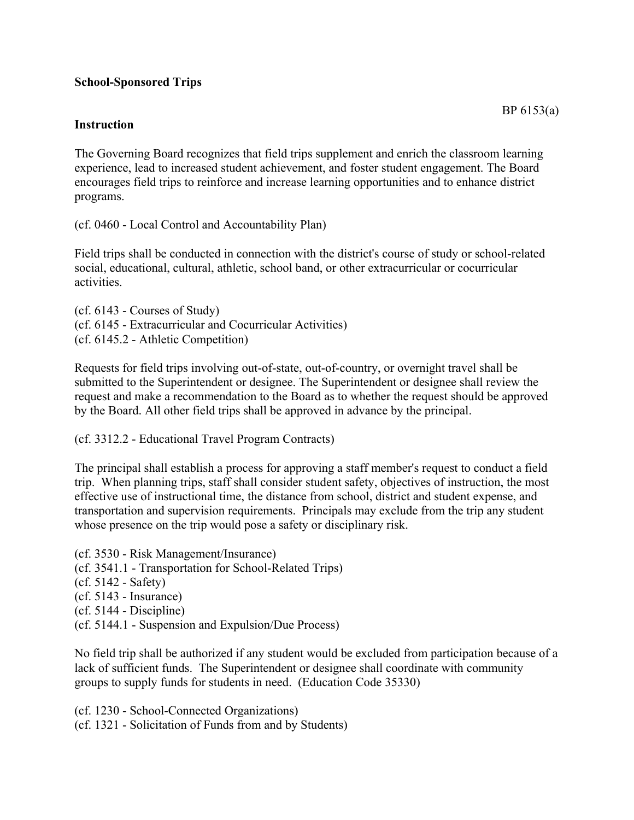## **School-Sponsored Trips**

## **Instruction**

The Governing Board recognizes that field trips supplement and enrich the classroom learning experience, lead to increased student achievement, and foster student engagement. The Board encourages field trips to reinforce and increase learning opportunities and to enhance district programs.

(cf. 0460 - Local Control and Accountability Plan)

Field trips shall be conducted in connection with the district's course of study or school-related social, educational, cultural, athletic, school band, or other extracurricular or cocurricular activities.

(cf. 6143 - Courses of Study) (cf. 6145 - Extracurricular and Cocurricular Activities) (cf. 6145.2 - Athletic Competition)

Requests for field trips involving out-of-state, out-of-country, or overnight travel shall be submitted to the Superintendent or designee. The Superintendent or designee shall review the request and make a recommendation to the Board as to whether the request should be approved by the Board. All other field trips shall be approved in advance by the principal.

(cf. 3312.2 - Educational Travel Program Contracts)

The principal shall establish a process for approving a staff member's request to conduct a field trip. When planning trips, staff shall consider student safety, objectives of instruction, the most effective use of instructional time, the distance from school, district and student expense, and transportation and supervision requirements. Principals may exclude from the trip any student whose presence on the trip would pose a safety or disciplinary risk.

(cf. 3530 - Risk Management/Insurance) (cf. 3541.1 - Transportation for School-Related Trips) (cf. 5142 - Safety) (cf. 5143 - Insurance) (cf. 5144 - Discipline) (cf. 5144.1 - Suspension and Expulsion/Due Process)

No field trip shall be authorized if any student would be excluded from participation because of a lack of sufficient funds. The Superintendent or designee shall coordinate with community groups to supply funds for students in need. (Education Code 35330)

(cf. 1230 - School-Connected Organizations) (cf. 1321 - Solicitation of Funds from and by Students)